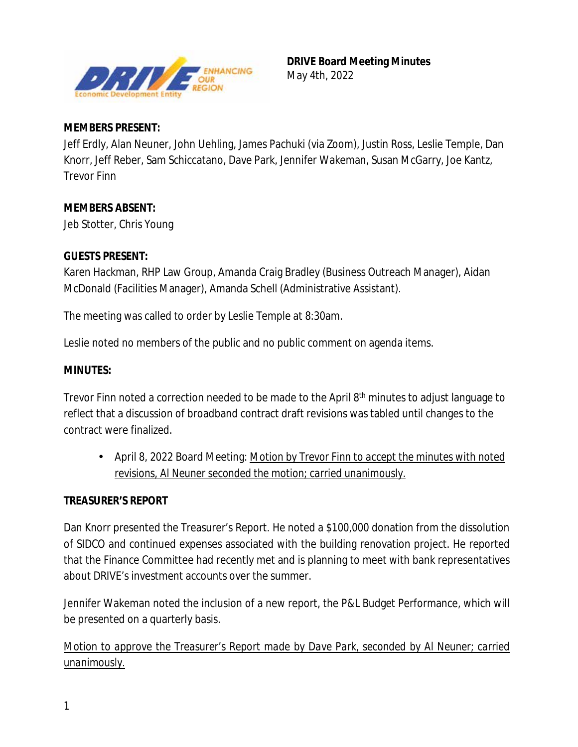

#### **MEMBERS PRESENT:**

Jeff Erdly, Alan Neuner, John Uehling, James Pachuki (via Zoom), Justin Ross, Leslie Temple, Dan Knorr, Jeff Reber, Sam Schiccatano, Dave Park, Jennifer Wakeman, Susan McGarry, Joe Kantz, Trevor Finn

## **MEMBERS ABSENT:**

Jeb Stotter, Chris Young

### **GUESTS PRESENT:**

Karen Hackman, RHP Law Group, Amanda Craig Bradley (Business Outreach Manager), Aidan McDonald (Facilities Manager), Amanda Schell (Administrative Assistant).

The meeting was called to order by Leslie Temple at 8:30am.

Leslie noted no members of the public and no public comment on agenda items.

### **MINUTES:**

Trevor Finn noted a correction needed to be made to the April 8<sup>th</sup> minutes to adjust language to reflect that a discussion of broadband contract draft revisions was tabled until changes to the contract were finalized.

April 8, 2022 Board Meeting: *Motion by Trevor Finn to accept the minutes with noted revisions, Al Neuner seconded the motion; carried unanimously.* 

## **TREASURER'S REPORT**

Dan Knorr presented the Treasurer's Report. He noted a \$100,000 donation from the dissolution of SIDCO and continued expenses associated with the building renovation project. He reported that the Finance Committee had recently met and is planning to meet with bank representatives about DRIVE's investment accounts over the summer.

Jennifer Wakeman noted the inclusion of a new report, the P&L Budget Performance, which will be presented on a quarterly basis.

*Motion to approve the Treasurer's Report made by Dave Park, seconded by Al Neuner; carried unanimously.*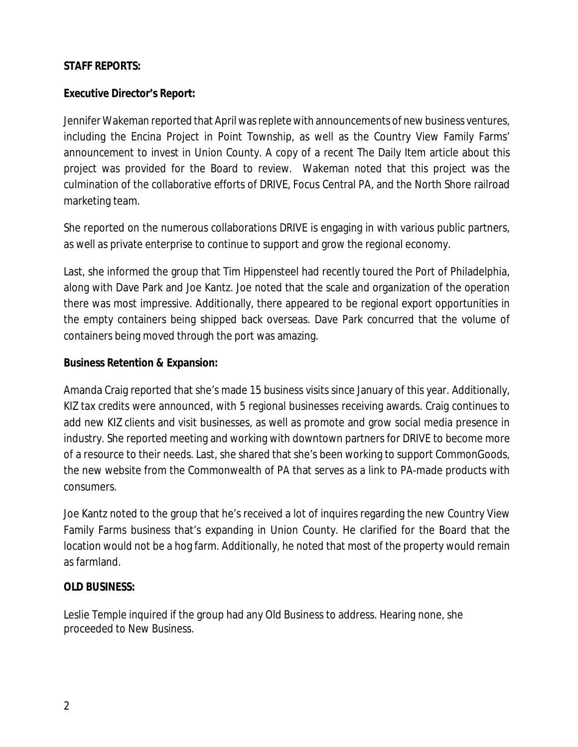### **STAFF REPORTS:**

# **Executive Director's Report:**

Jennifer Wakeman reported that April was replete with announcements of new business ventures, including the Encina Project in Point Township, as well as the Country View Family Farms' announcement to invest in Union County. A copy of a recent The Daily Item article about this project was provided for the Board to review. Wakeman noted that this project was the culmination of the collaborative efforts of DRIVE, Focus Central PA, and the North Shore railroad marketing team.

She reported on the numerous collaborations DRIVE is engaging in with various public partners, as well as private enterprise to continue to support and grow the regional economy.

Last, she informed the group that Tim Hippensteel had recently toured the Port of Philadelphia, along with Dave Park and Joe Kantz. Joe noted that the scale and organization of the operation there was most impressive. Additionally, there appeared to be regional export opportunities in the empty containers being shipped back overseas. Dave Park concurred that the volume of containers being moved through the port was amazing.

## **Business Retention & Expansion:**

Amanda Craig reported that she's made 15 business visits since January of this year. Additionally, KIZ tax credits were announced, with 5 regional businesses receiving awards. Craig continues to add new KIZ clients and visit businesses, as well as promote and grow social media presence in industry. She reported meeting and working with downtown partners for DRIVE to become more of a resource to their needs. Last, she shared that she's been working to support CommonGoods, the new website from the Commonwealth of PA that serves as a link to PA-made products with consumers.

Joe Kantz noted to the group that he's received a lot of inquires regarding the new Country View Family Farms business that's expanding in Union County. He clarified for the Board that the location would not be a hog farm. Additionally, he noted that most of the property would remain as farmland.

#### **OLD BUSINESS:**

Leslie Temple inquired if the group had any Old Business to address. Hearing none, she proceeded to New Business.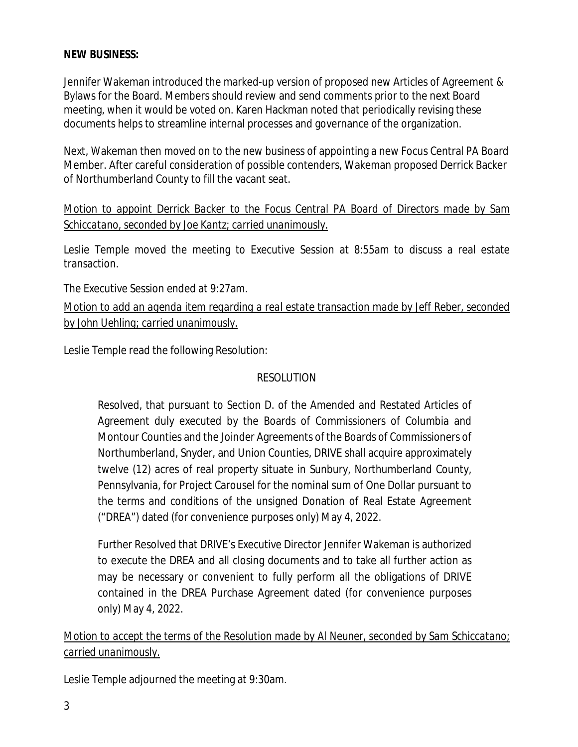#### **NEW BUSINESS:**

Jennifer Wakeman introduced the marked-up version of proposed new Articles of Agreement & Bylaws for the Board. Members should review and send comments prior to the next Board meeting, when it would be voted on. Karen Hackman noted that periodically revising these documents helps to streamline internal processes and governance of the organization.

Next, Wakeman then moved on to the new business of appointing a new Focus Central PA Board Member. After careful consideration of possible contenders, Wakeman proposed Derrick Backer of Northumberland County to fill the vacant seat.

# *Motion to appoint Derrick Backer to the Focus Central PA Board of Directors made by Sam Schiccatano, seconded by Joe Kantz; carried unanimously.*

Leslie Temple moved the meeting to Executive Session at 8:55am to discuss a real estate transaction.

The Executive Session ended at 9:27am.

*Motion to add an agenda item regarding a real estate transaction made by Jeff Reber, seconded by John Uehling; carried unanimously.*

Leslie Temple read the following Resolution:

# RESOLUTION

Resolved, that pursuant to Section D. of the Amended and Restated Articles of Agreement duly executed by the Boards of Commissioners of Columbia and Montour Counties and the Joinder Agreements of the Boards of Commissioners of Northumberland, Snyder, and Union Counties, DRIVE shall acquire approximately twelve (12) acres of real property situate in Sunbury, Northumberland County, Pennsylvania, for Project Carousel for the nominal sum of One Dollar pursuant to the terms and conditions of the unsigned Donation of Real Estate Agreement ("DREA") dated (for convenience purposes only) May 4, 2022.

Further Resolved that DRIVE's Executive Director Jennifer Wakeman is authorized to execute the DREA and all closing documents and to take all further action as may be necessary or convenient to fully perform all the obligations of DRIVE contained in the DREA Purchase Agreement dated (for convenience purposes only) May 4, 2022.

*Motion to accept the terms of the Resolution made by Al Neuner, seconded by Sam Schiccatano; carried unanimously.*

Leslie Temple adjourned the meeting at 9:30am.